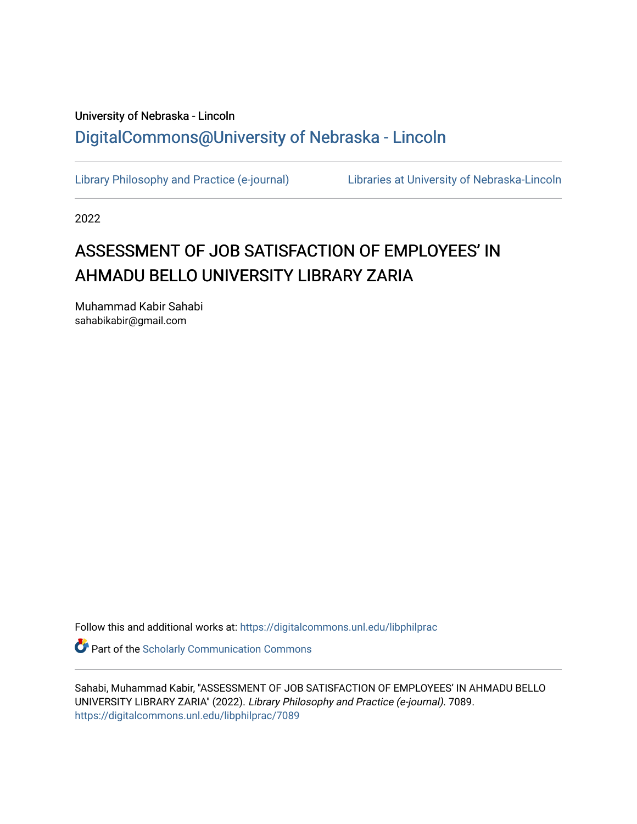# University of Nebraska - Lincoln [DigitalCommons@University of Nebraska - Lincoln](https://digitalcommons.unl.edu/)

[Library Philosophy and Practice \(e-journal\)](https://digitalcommons.unl.edu/libphilprac) [Libraries at University of Nebraska-Lincoln](https://digitalcommons.unl.edu/libraries) 

2022

# ASSESSMENT OF JOB SATISFACTION OF EMPLOYEES' IN AHMADU BELLO UNIVERSITY LIBRARY ZARIA

Muhammad Kabir Sahabi sahabikabir@gmail.com

Follow this and additional works at: [https://digitalcommons.unl.edu/libphilprac](https://digitalcommons.unl.edu/libphilprac?utm_source=digitalcommons.unl.edu%2Flibphilprac%2F7089&utm_medium=PDF&utm_campaign=PDFCoverPages) 

**Part of the Scholarly Communication Commons** 

Sahabi, Muhammad Kabir, "ASSESSMENT OF JOB SATISFACTION OF EMPLOYEES' IN AHMADU BELLO UNIVERSITY LIBRARY ZARIA" (2022). Library Philosophy and Practice (e-journal). 7089. [https://digitalcommons.unl.edu/libphilprac/7089](https://digitalcommons.unl.edu/libphilprac/7089?utm_source=digitalcommons.unl.edu%2Flibphilprac%2F7089&utm_medium=PDF&utm_campaign=PDFCoverPages)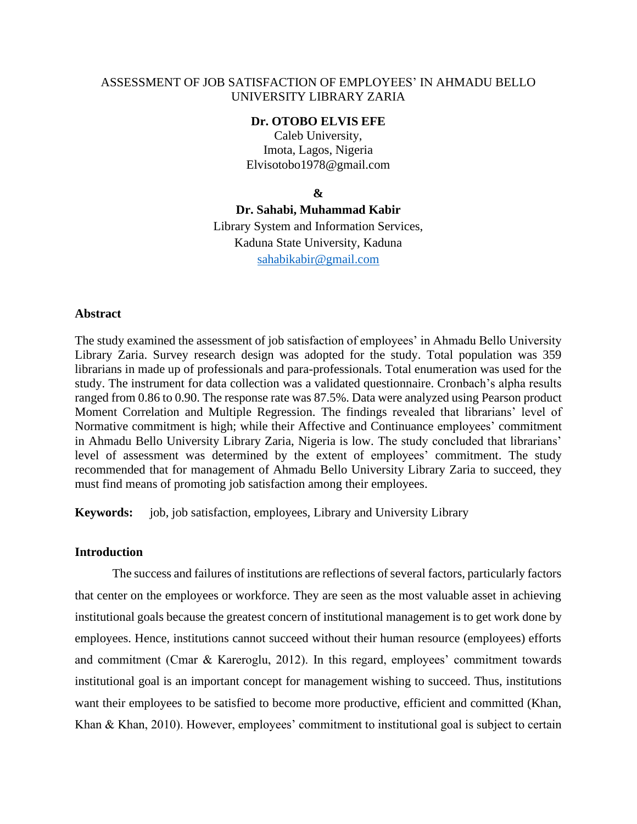# ASSESSMENT OF JOB SATISFACTION OF EMPLOYEES' IN AHMADU BELLO UNIVERSITY LIBRARY ZARIA

#### **Dr. OTOBO ELVIS EFE**

Caleb University, Imota, Lagos, Nigeria Elvisotobo1978@gmail.com

#### **&**

**Dr. Sahabi, Muhammad Kabir** Library System and Information Services, Kaduna State University, Kaduna [sahabikabir@gmail.com](mailto:sahabikabir@gmail.com)

#### **Abstract**

The study examined the assessment of job satisfaction of employees' in Ahmadu Bello University Library Zaria. Survey research design was adopted for the study. Total population was 359 librarians in made up of professionals and para-professionals. Total enumeration was used for the study. The instrument for data collection was a validated questionnaire. Cronbach's alpha results ranged from 0.86 to 0.90. The response rate was 87.5%. Data were analyzed using Pearson product Moment Correlation and Multiple Regression. The findings revealed that librarians' level of Normative commitment is high; while their Affective and Continuance employees' commitment in Ahmadu Bello University Library Zaria, Nigeria is low. The study concluded that librarians' level of assessment was determined by the extent of employees' commitment. The study recommended that for management of Ahmadu Bello University Library Zaria to succeed, they must find means of promoting job satisfaction among their employees.

**Keywords:** job, job satisfaction, employees, Library and University Library

#### **Introduction**

The success and failures of institutions are reflections of several factors, particularly factors that center on the employees or workforce. They are seen as the most valuable asset in achieving institutional goals because the greatest concern of institutional management is to get work done by employees. Hence, institutions cannot succeed without their human resource (employees) efforts and commitment (Cmar & Kareroglu, 2012). In this regard, employees' commitment towards institutional goal is an important concept for management wishing to succeed. Thus, institutions want their employees to be satisfied to become more productive, efficient and committed (Khan, Khan & Khan, 2010). However, employees' commitment to institutional goal is subject to certain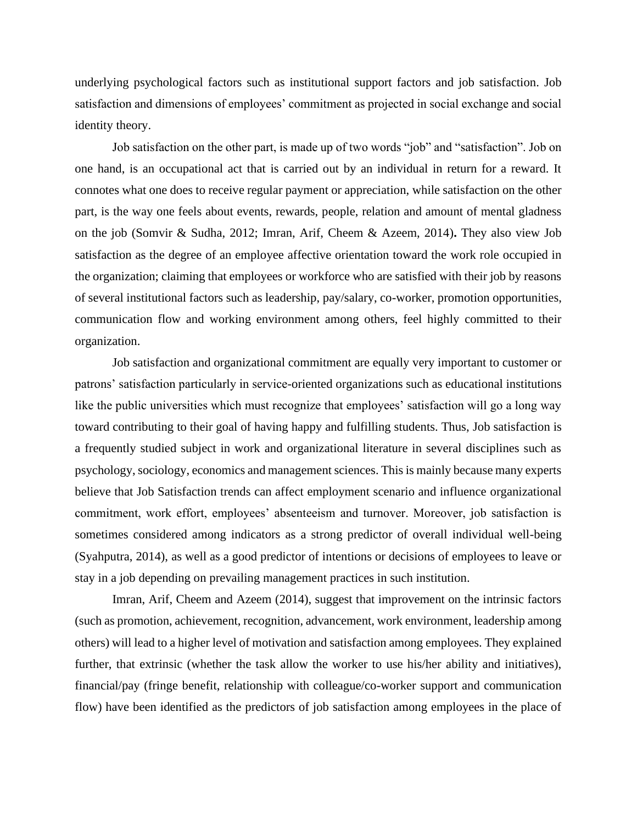underlying psychological factors such as institutional support factors and job satisfaction. Job satisfaction and dimensions of employees' commitment as projected in social exchange and social identity theory.

Job satisfaction on the other part, is made up of two words "job" and "satisfaction". Job on one hand, is an occupational act that is carried out by an individual in return for a reward. It connotes what one does to receive regular payment or appreciation, while satisfaction on the other part, is the way one feels about events, rewards, people, relation and amount of mental gladness on the job (Somvir & Sudha, 2012; Imran, Arif, Cheem & Azeem, 2014)**.** They also view Job satisfaction as the degree of an employee affective orientation toward the work role occupied in the organization; claiming that employees or workforce who are satisfied with their job by reasons of several institutional factors such as leadership, pay/salary, co-worker, promotion opportunities, communication flow and working environment among others, feel highly committed to their organization.

Job satisfaction and organizational commitment are equally very important to customer or patrons' satisfaction particularly in service-oriented organizations such as educational institutions like the public universities which must recognize that employees' satisfaction will go a long way toward contributing to their goal of having happy and fulfilling students. Thus, Job satisfaction is a frequently studied subject in work and organizational literature in several disciplines such as psychology, sociology, economics and management sciences. This is mainly because many experts believe that Job Satisfaction trends can affect employment scenario and influence organizational commitment, work effort, employees' absenteeism and turnover. Moreover, job satisfaction is sometimes considered among indicators as a strong predictor of overall individual well-being (Syahputra, 2014), as well as a good predictor of intentions or decisions of employees to leave or stay in a job depending on prevailing management practices in such institution.

Imran, Arif, Cheem and Azeem (2014), suggest that improvement on the intrinsic factors (such as promotion, achievement, recognition, advancement, work environment, leadership among others) will lead to a higher level of motivation and satisfaction among employees. They explained further, that extrinsic (whether the task allow the worker to use his/her ability and initiatives), financial/pay (fringe benefit, relationship with colleague/co-worker support and communication flow) have been identified as the predictors of job satisfaction among employees in the place of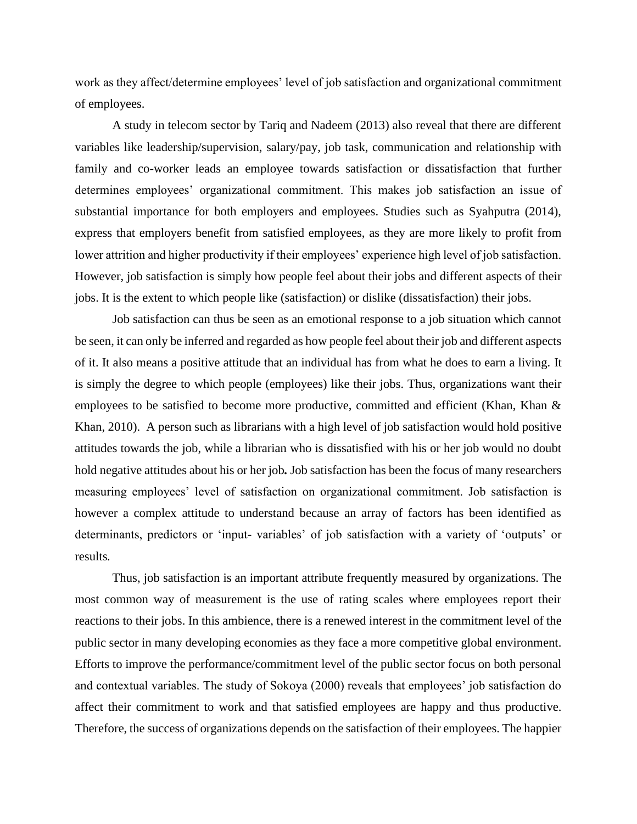work as they affect/determine employees' level of job satisfaction and organizational commitment of employees.

A study in telecom sector by Tariq and Nadeem (2013) also reveal that there are different variables like leadership/supervision, salary/pay, job task, communication and relationship with family and co-worker leads an employee towards satisfaction or dissatisfaction that further determines employees' organizational commitment. This makes job satisfaction an issue of substantial importance for both employers and employees. Studies such as Syahputra (2014), express that employers benefit from satisfied employees, as they are more likely to profit from lower attrition and higher productivity if their employees' experience high level of job satisfaction. However, job satisfaction is simply how people feel about their jobs and different aspects of their jobs. It is the extent to which people like (satisfaction) or dislike (dissatisfaction) their jobs.

Job satisfaction can thus be seen as an emotional response to a job situation which cannot be seen, it can only be inferred and regarded as how people feel about their job and different aspects of it. It also means a positive attitude that an individual has from what he does to earn a living. It is simply the degree to which people (employees) like their jobs. Thus, organizations want their employees to be satisfied to become more productive, committed and efficient (Khan, Khan & Khan, 2010). A person such as librarians with a high level of job satisfaction would hold positive attitudes towards the job, while a librarian who is dissatisfied with his or her job would no doubt hold negative attitudes about his or her job*.* Job satisfaction has been the focus of many researchers measuring employees' level of satisfaction on organizational commitment. Job satisfaction is however a complex attitude to understand because an array of factors has been identified as determinants, predictors or 'input- variables' of job satisfaction with a variety of 'outputs' or results*.*

Thus, job satisfaction is an important attribute frequently measured by organizations. The most common way of measurement is the use of rating scales where employees report their reactions to their jobs. In this ambience, there is a renewed interest in the commitment level of the public sector in many developing economies as they face a more competitive global environment. Efforts to improve the performance/commitment level of the public sector focus on both personal and contextual variables. The study of Sokoya (2000) reveals that employees' job satisfaction do affect their commitment to work and that satisfied employees are happy and thus productive. Therefore, the success of organizations depends on the satisfaction of their employees. The happier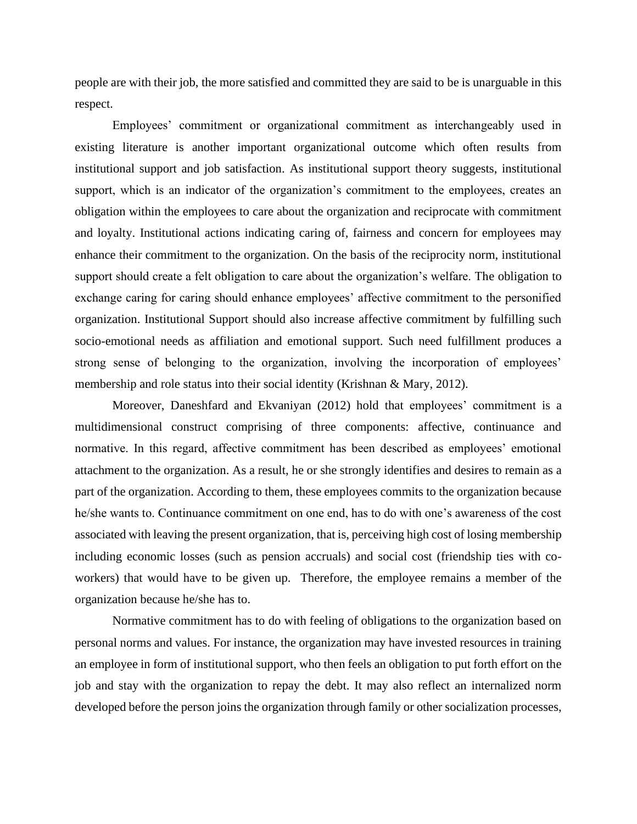people are with their job, the more satisfied and committed they are said to be is unarguable in this respect.

Employees' commitment or organizational commitment as interchangeably used in existing literature is another important organizational outcome which often results from institutional support and job satisfaction. As institutional support theory suggests, institutional support, which is an indicator of the organization's commitment to the employees, creates an obligation within the employees to care about the organization and reciprocate with commitment and loyalty. Institutional actions indicating caring of, fairness and concern for employees may enhance their commitment to the organization. On the basis of the reciprocity norm, institutional support should create a felt obligation to care about the organization's welfare. The obligation to exchange caring for caring should enhance employees' affective commitment to the personified organization. Institutional Support should also increase affective commitment by fulfilling such socio-emotional needs as affiliation and emotional support. Such need fulfillment produces a strong sense of belonging to the organization, involving the incorporation of employees' membership and role status into their social identity (Krishnan & Mary, 2012).

Moreover, Daneshfard and Ekvaniyan (2012) hold that employees' commitment is a multidimensional construct comprising of three components: affective, continuance and normative. In this regard, affective commitment has been described as employees' emotional attachment to the organization. As a result, he or she strongly identifies and desires to remain as a part of the organization. According to them, these employees commits to the organization because he/she wants to. Continuance commitment on one end, has to do with one's awareness of the cost associated with leaving the present organization, that is, perceiving high cost of losing membership including economic losses (such as pension accruals) and social cost (friendship ties with coworkers) that would have to be given up. Therefore, the employee remains a member of the organization because he/she has to.

Normative commitment has to do with feeling of obligations to the organization based on personal norms and values. For instance, the organization may have invested resources in training an employee in form of institutional support, who then feels an obligation to put forth effort on the job and stay with the organization to repay the debt. It may also reflect an internalized norm developed before the person joins the organization through family or other socialization processes,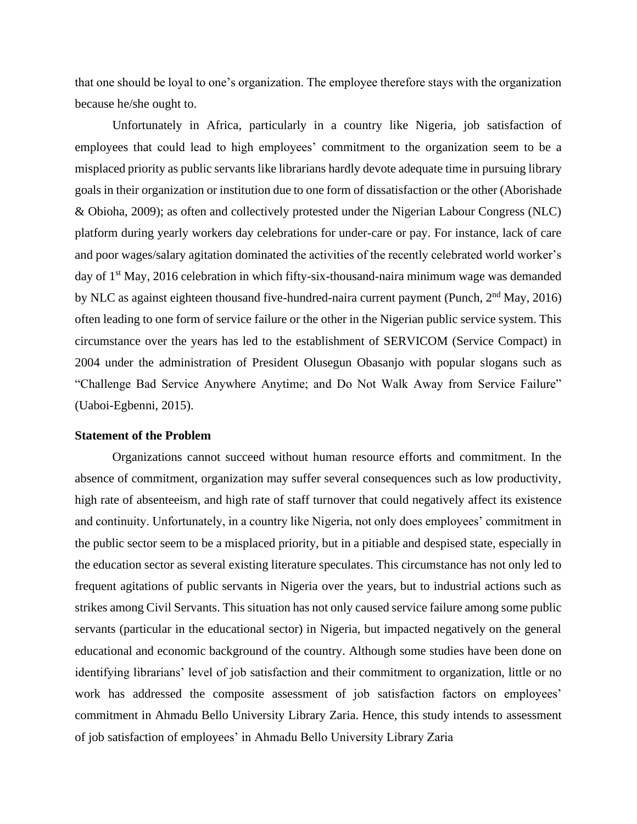that one should be loyal to one's organization. The employee therefore stays with the organization because he/she ought to.

Unfortunately in Africa, particularly in a country like Nigeria, job satisfaction of employees that could lead to high employees' commitment to the organization seem to be a misplaced priority as public servants like librarians hardly devote adequate time in pursuing library goals in their organization or institution due to one form of dissatisfaction or the other (Aborishade & Obioha, 2009); as often and collectively protested under the Nigerian Labour Congress (NLC) platform during yearly workers day celebrations for under-care or pay. For instance, lack of care and poor wages/salary agitation dominated the activities of the recently celebrated world worker's day of  $1<sup>st</sup>$  May, 2016 celebration in which fifty-six-thousand-naira minimum wage was demanded by NLC as against eighteen thousand five-hundred-naira current payment (Punch,  $2<sup>nd</sup>$  May, 2016) often leading to one form of service failure or the other in the Nigerian public service system. This circumstance over the years has led to the establishment of SERVICOM (Service Compact) in 2004 under the administration of President Olusegun Obasanjo with popular slogans such as "Challenge Bad Service Anywhere Anytime; and Do Not Walk Away from Service Failure" (Uaboi-Egbenni, 2015).

## **Statement of the Problem**

Organizations cannot succeed without human resource efforts and commitment. In the absence of commitment, organization may suffer several consequences such as low productivity, high rate of absenteeism, and high rate of staff turnover that could negatively affect its existence and continuity. Unfortunately, in a country like Nigeria, not only does employees' commitment in the public sector seem to be a misplaced priority, but in a pitiable and despised state, especially in the education sector as several existing literature speculates. This circumstance has not only led to frequent agitations of public servants in Nigeria over the years, but to industrial actions such as strikes among Civil Servants. This situation has not only caused service failure among some public servants (particular in the educational sector) in Nigeria, but impacted negatively on the general educational and economic background of the country. Although some studies have been done on identifying librarians' level of job satisfaction and their commitment to organization, little or no work has addressed the composite assessment of job satisfaction factors on employees' commitment in Ahmadu Bello University Library Zaria. Hence, this study intends to assessment of job satisfaction of employees' in Ahmadu Bello University Library Zaria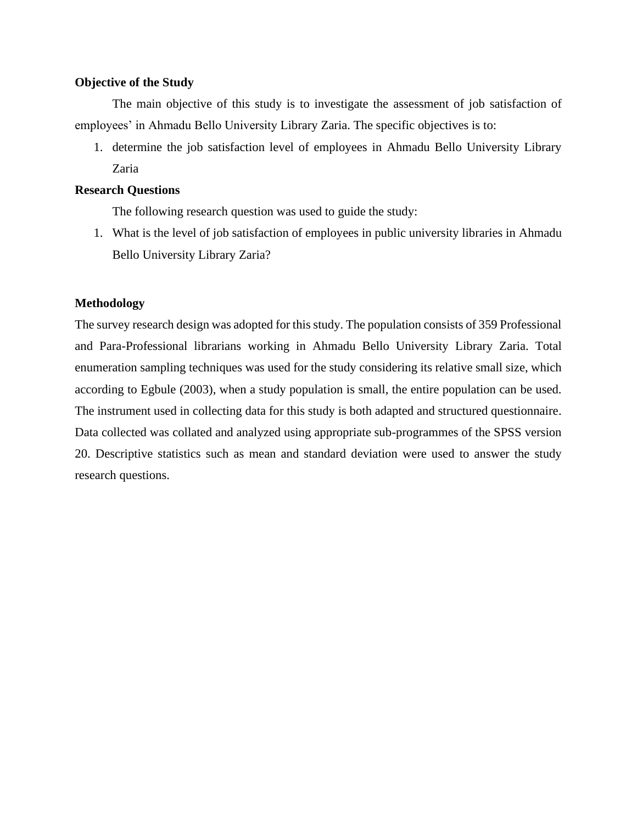#### **Objective of the Study**

The main objective of this study is to investigate the assessment of job satisfaction of employees' in Ahmadu Bello University Library Zaria. The specific objectives is to:

1. determine the job satisfaction level of employees in Ahmadu Bello University Library Zaria

# **Research Questions**

The following research question was used to guide the study:

1. What is the level of job satisfaction of employees in public university libraries in Ahmadu Bello University Library Zaria?

# **Methodology**

The survey research design was adopted for this study. The population consists of 359 Professional and Para-Professional librarians working in Ahmadu Bello University Library Zaria. Total enumeration sampling techniques was used for the study considering its relative small size, which according to Egbule (2003), when a study population is small, the entire population can be used. The instrument used in collecting data for this study is both adapted and structured questionnaire. Data collected was collated and analyzed using appropriate sub-programmes of the SPSS version 20. Descriptive statistics such as mean and standard deviation were used to answer the study research questions.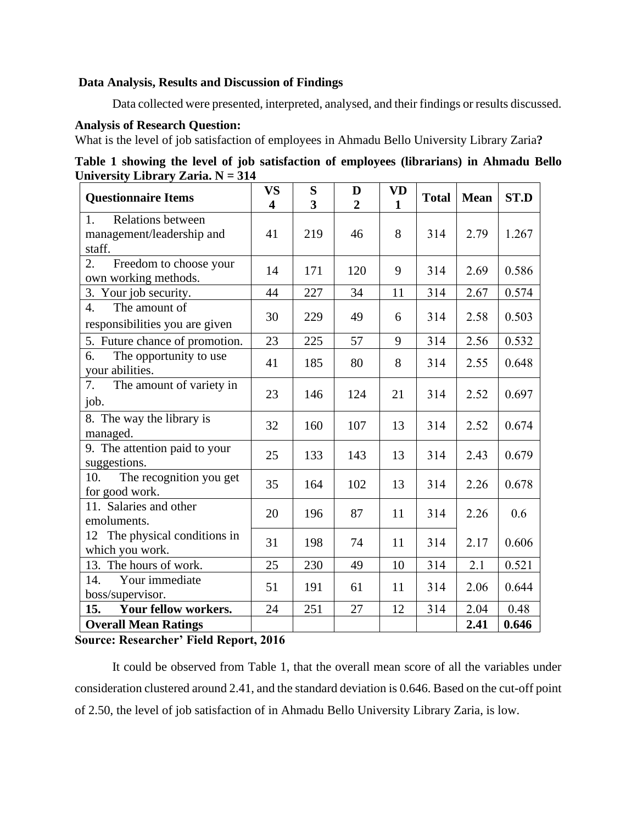# **Data Analysis, Results and Discussion of Findings**

Data collected were presented, interpreted, analysed, and their findings or results discussed.

# **Analysis of Research Question:**

What is the level of job satisfaction of employees in Ahmadu Bello University Library Zaria**?**

| Table 1 showing the level of job satisfaction of employees (librarians) in Ahmadu Bello |  |  |
|-----------------------------------------------------------------------------------------|--|--|
| University Library Zaria. $N = 314$                                                     |  |  |

| <b>Questionnaire Items</b>                                            | <b>VS</b><br>$\overline{\mathbf{4}}$ | S<br>3 | D<br>$\overline{2}$ | <b>VD</b><br>$\mathbf{1}$ | <b>Total</b> | <b>Mean</b> | ST.D  |
|-----------------------------------------------------------------------|--------------------------------------|--------|---------------------|---------------------------|--------------|-------------|-------|
| <b>Relations between</b><br>1.<br>management/leadership and<br>staff. | 41                                   | 219    | 46                  | 8                         | 314          | 2.79        | 1.267 |
| 2.<br>Freedom to choose your<br>own working methods.                  | 14                                   | 171    | 120                 | 9                         | 314          | 2.69        | 0.586 |
| 3. Your job security.                                                 | 44                                   | 227    | 34                  | 11                        | 314          | 2.67        | 0.574 |
| $\overline{4}$ .<br>The amount of<br>responsibilities you are given   | 30                                   | 229    | 49                  | 6                         | 314          | 2.58        | 0.503 |
| 5. Future chance of promotion.                                        | 23                                   | 225    | 57                  | 9                         | 314          | 2.56        | 0.532 |
| 6.<br>The opportunity to use<br>your abilities.                       | 41                                   | 185    | 80                  | 8                         | 314          | 2.55        | 0.648 |
| The amount of variety in<br>7.<br>job.                                | 23                                   | 146    | 124                 | 21                        | 314          | 2.52        | 0.697 |
| 8. The way the library is<br>managed.                                 | 32                                   | 160    | 107                 | 13                        | 314          | 2.52        | 0.674 |
| 9. The attention paid to your<br>suggestions.                         | 25                                   | 133    | 143                 | 13                        | 314          | 2.43        | 0.679 |
| The recognition you get<br>10.<br>for good work.                      | 35                                   | 164    | 102                 | 13                        | 314          | 2.26        | 0.678 |
| 11. Salaries and other<br>emoluments.                                 | 20                                   | 196    | 87                  | 11                        | 314          | 2.26        | 0.6   |
| 12 The physical conditions in<br>which you work.                      | 31                                   | 198    | 74                  | 11                        | 314          | 2.17        | 0.606 |
| 13. The hours of work.                                                | 25                                   | 230    | 49                  | 10                        | 314          | 2.1         | 0.521 |
| 14.<br>Your immediate<br>boss/supervisor.                             | 51                                   | 191    | 61                  | 11                        | 314          | 2.06        | 0.644 |
| 15.<br>Your fellow workers.                                           | 24                                   | 251    | 27                  | 12                        | 314          | 2.04        | 0.48  |
| <b>Overall Mean Ratings</b>                                           |                                      |        |                     |                           |              | 2.41        | 0.646 |

# **Source: Researcher' Field Report, 2016**

It could be observed from Table 1, that the overall mean score of all the variables under consideration clustered around 2.41, and the standard deviation is 0.646. Based on the cut-off point of 2.50, the level of job satisfaction of in Ahmadu Bello University Library Zaria, is low.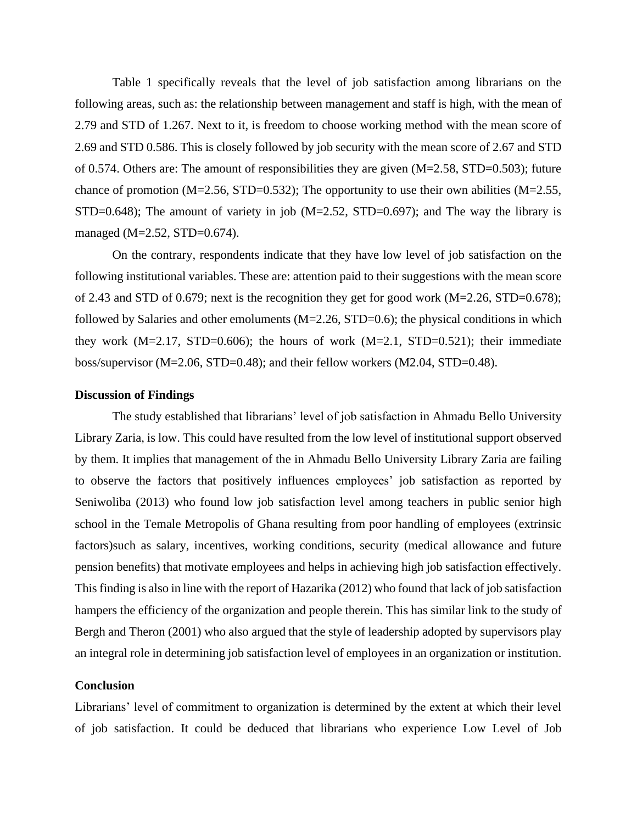Table 1 specifically reveals that the level of job satisfaction among librarians on the following areas, such as: the relationship between management and staff is high, with the mean of 2.79 and STD of 1.267. Next to it, is freedom to choose working method with the mean score of 2.69 and STD 0.586. This is closely followed by job security with the mean score of 2.67 and STD of 0.574. Others are: The amount of responsibilities they are given (M=2.58, STD=0.503); future chance of promotion (M=2.56, STD=0.532); The opportunity to use their own abilities (M=2.55, STD=0.648); The amount of variety in job  $(M=2.52, STD=0.697)$ ; and The way the library is managed (M=2.52, STD=0.674).

On the contrary, respondents indicate that they have low level of job satisfaction on the following institutional variables. These are: attention paid to their suggestions with the mean score of 2.43 and STD of 0.679; next is the recognition they get for good work  $(M=2.26, STD=0.678)$ ; followed by Salaries and other emoluments  $(M=2.26, STD=0.6)$ ; the physical conditions in which they work  $(M=2.17, STD=0.606)$ ; the hours of work  $(M=2.1, STD=0.521)$ ; their immediate boss/supervisor (M=2.06, STD=0.48); and their fellow workers (M2.04, STD=0.48).

#### **Discussion of Findings**

The study established that librarians' level of job satisfaction in Ahmadu Bello University Library Zaria, is low. This could have resulted from the low level of institutional support observed by them. It implies that management of the in Ahmadu Bello University Library Zaria are failing to observe the factors that positively influences employees' job satisfaction as reported by Seniwoliba (2013) who found low job satisfaction level among teachers in public senior high school in the Temale Metropolis of Ghana resulting from poor handling of employees (extrinsic factors)such as salary, incentives, working conditions, security (medical allowance and future pension benefits) that motivate employees and helps in achieving high job satisfaction effectively. This finding is also in line with the report of Hazarika (2012) who found that lack of job satisfaction hampers the efficiency of the organization and people therein. This has similar link to the study of Bergh and Theron (2001) who also argued that the style of leadership adopted by supervisors play an integral role in determining job satisfaction level of employees in an organization or institution.

#### **Conclusion**

Librarians' level of commitment to organization is determined by the extent at which their level of job satisfaction. It could be deduced that librarians who experience Low Level of Job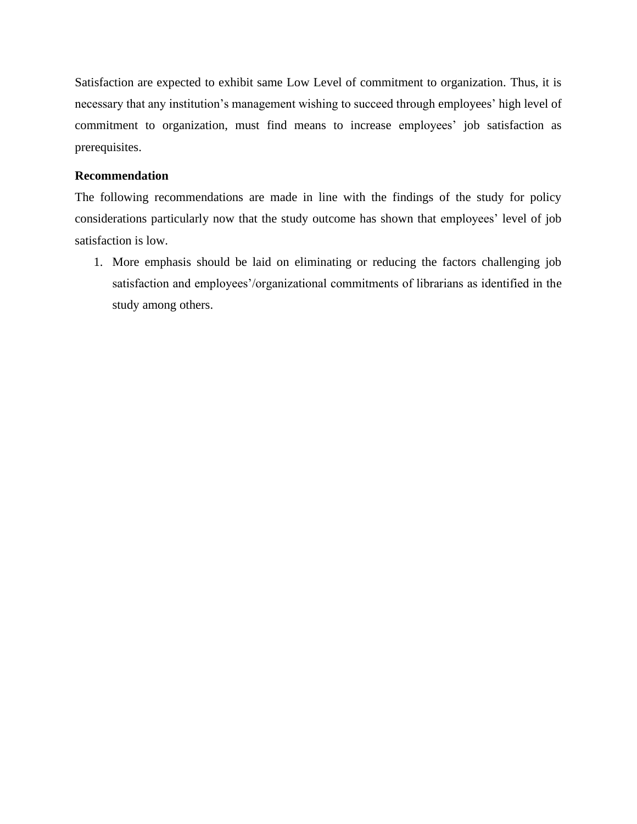Satisfaction are expected to exhibit same Low Level of commitment to organization. Thus, it is necessary that any institution's management wishing to succeed through employees' high level of commitment to organization, must find means to increase employees' job satisfaction as prerequisites.

# **Recommendation**

The following recommendations are made in line with the findings of the study for policy considerations particularly now that the study outcome has shown that employees' level of job satisfaction is low.

1. More emphasis should be laid on eliminating or reducing the factors challenging job satisfaction and employees'/organizational commitments of librarians as identified in the study among others.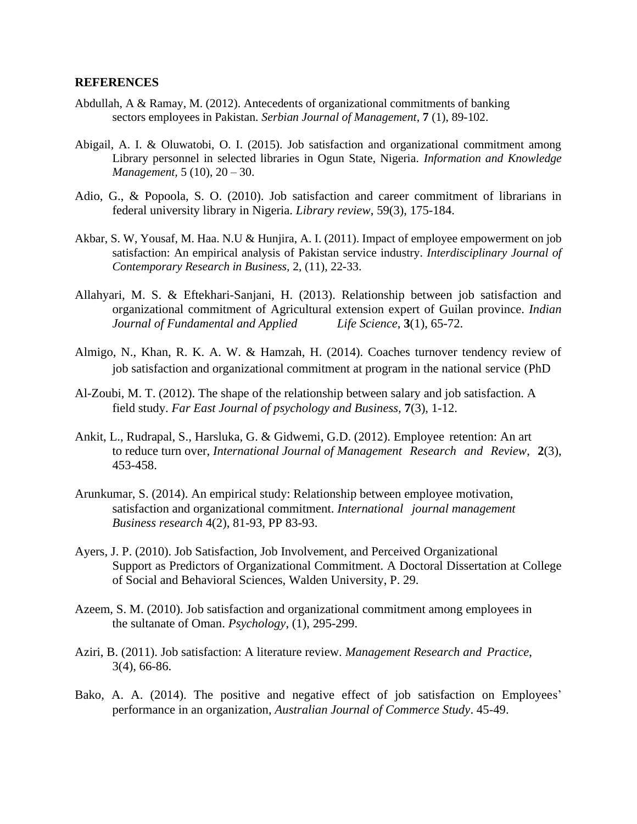#### **REFERENCES**

- Abdullah, A & Ramay, M. (2012). Antecedents of organizational commitments of banking sectors employees in Pakistan. *Serbian Journal of Management,* **7** (1), 89-102.
- Abigail, A. I. & Oluwatobi, O. I. (2015). Job satisfaction and organizational commitment among Library personnel in selected libraries in Ogun State, Nigeria. *Information and Knowledge Management,* 5 (10), 20 – 30.
- Adio, G., & Popoola, S. O. (2010). Job satisfaction and career commitment of librarians in federal university library in Nigeria. *Library review*, 59(3), 175-184.
- Akbar, S. W, Yousaf, M. Haa. N.U & Hunjira, A. I. (2011). Impact of employee empowerment on job satisfaction: An empirical analysis of Pakistan service industry. *Interdisciplinary Journal of Contemporary Research in Business,* 2, (11), 22-33.
- Allahyari, M. S. & Eftekhari-Sanjani, H. (2013). Relationship between job satisfaction and organizational commitment of Agricultural extension expert of Guilan province. *Indian Journal of Fundamental and Applied Life Science*, **3**(1), 65-72.
- Almigo, N., Khan, R. K. A. W. & Hamzah, H. (2014). Coaches turnover tendency review of job satisfaction and organizational commitment at program in the national service (PhD
- Al-Zoubi, M. T. (2012). The shape of the relationship between salary and job satisfaction. A field study. *Far East Journal of psychology and Business,* **7**(3), 1-12.
- Ankit, L., Rudrapal, S., Harsluka, G. & Gidwemi, G.D. (2012). Employee retention: An art to reduce turn over, *International Journal of Management Research and Review*, **2**(3), 453-458.
- Arunkumar, S. (2014). An empirical study: Relationship between employee motivation, satisfaction and organizational commitment. *International journal management Business research* 4(2), 81-93, PP 83-93.
- Ayers, J. P. (2010). Job Satisfaction, Job Involvement, and Perceived Organizational Support as Predictors of Organizational Commitment. A Doctoral Dissertation at College of Social and Behavioral Sciences, Walden University, P. 29.
- Azeem, S. M. (2010). Job satisfaction and organizational commitment among employees in the sultanate of Oman. *Psychology*, (1), 295-299.
- Aziri, B. (2011). Job satisfaction: A literature review. *Management Research and Practice*, 3(4), 66-86.
- Bako, A. A. (2014). The positive and negative effect of job satisfaction on Employees' performance in an organization, *Australian Journal of Commerce Study*. 45-49.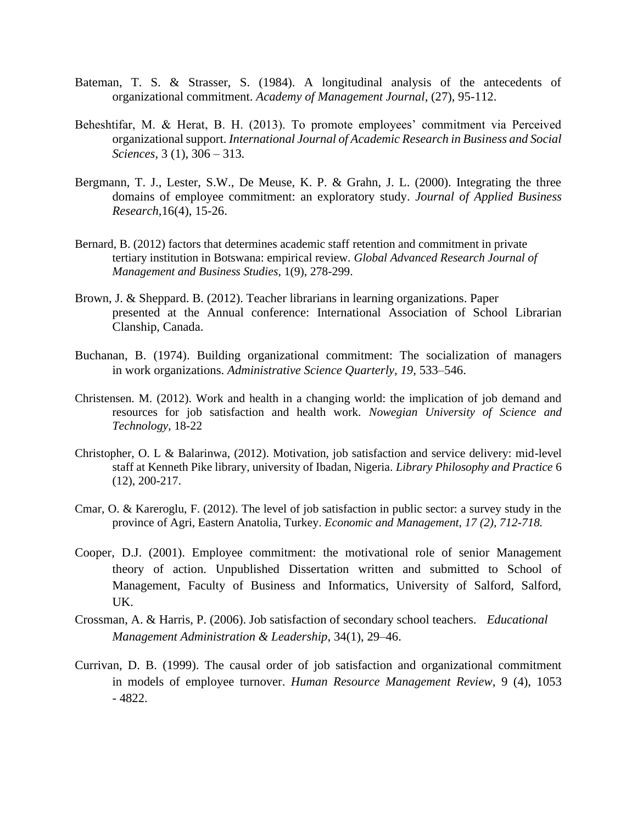- Bateman, T. S. & Strasser, S. (1984). A longitudinal analysis of the antecedents of organizational commitment. *Academy of Management Journal*, (27), 95-112.
- Beheshtifar, M. & Herat, B. H. (2013). To promote employees' commitment via Perceived organizational support. *International Journal of Academic Research in Business and Social Sciences,* 3 (1), 306 – 313*.*
- Bergmann, T. J., Lester, S.W., De Meuse, K. P. & Grahn, J. L. (2000). Integrating the three domains of employee commitment: an exploratory study. *Journal of Applied Business Research,*16(4), 15-26.
- Bernard, B. (2012) factors that determines academic staff retention and commitment in private tertiary institution in Botswana: empirical review. *Global Advanced Research Journal of Management and Business Studies*, 1(9), 278-299.
- Brown, J. & Sheppard. B. (2012). Teacher librarians in learning organizations. Paper presented at the Annual conference: International Association of School Librarian Clanship, Canada.
- Buchanan, B. (1974). Building organizational commitment: The socialization of managers in work organizations. *Administrative Science Quarterly, 19,* 533–546.
- Christensen. M. (2012). Work and health in a changing world: the implication of job demand and resources for job satisfaction and health work. *Nowegian University of Science and Technology*, 18-22
- Christopher, O. L & Balarinwa, (2012). Motivation, job satisfaction and service delivery: mid-level staff at Kenneth Pike library, university of Ibadan, Nigeria. *Library Philosophy and Practice* 6 (12), 200-217.
- Cmar, O. & Kareroglu, F. (2012). The level of job satisfaction in public sector: a survey study in the province of Agri, Eastern Anatolia, Turkey. *Economic and Management, 17 (2), 712-718.*
- Cooper, D.J. (2001). Employee commitment: the motivational role of senior Management theory of action. Unpublished Dissertation written and submitted to School of Management, Faculty of Business and Informatics, University of Salford, Salford, UK.
- Crossman, A. & Harris, P. (2006). Job satisfaction of secondary school teachers. *Educational Management Administration & Leadership*, 34(1), 29–46.
- Currivan, D. B. (1999). The causal order of job satisfaction and organizational commitment in models of employee turnover. *Human Resource Management Review,* 9 (4), 1053 - 4822.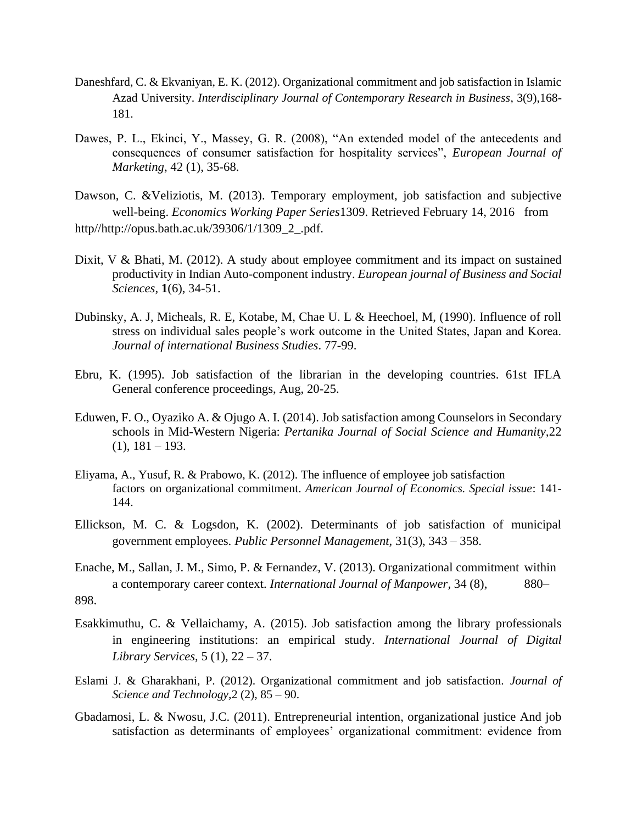- Daneshfard, C. & Ekvaniyan, E. K. (2012). Organizational commitment and job satisfaction in Islamic Azad University. *Interdisciplinary Journal of Contemporary Research in Business*, 3(9),168- 181.
- Dawes, P. L., Ekinci, Y., Massey, G. R. (2008), "An extended model of the antecedents and consequences of consumer satisfaction for hospitality services", *European Journal of Marketing*, 42 (1), 35-68.
- Dawson, C. &Veliziotis, M. (2013). Temporary employment, job satisfaction and subjective well-being. *Economics Working Paper Series*1309. Retrieved February 14, 2016 from http//http://opus.bath.ac.uk/39306/1/1309\_2\_.pdf.
- Dixit, V & Bhati, M. (2012). A study about employee commitment and its impact on sustained productivity in Indian Auto-component industry. *European journal of Business and Social Sciences*, **1**(6), 34-51.
- Dubinsky, A. J, Micheals, R. E, Kotabe, M, Chae U. L & Heechoel, M, (1990). Influence of roll stress on individual sales people's work outcome in the United States, Japan and Korea. *Journal of international Business Studies*. 77-99.
- Ebru, K. (1995). Job satisfaction of the librarian in the developing countries. 61st IFLA General conference proceedings, Aug, 20-25.
- Eduwen, F. O., Oyaziko A. & Ojugo A. I. (2014). Job satisfaction among Counselors in Secondary schools in Mid-Western Nigeria: *Pertanika Journal of Social Science and Humanity,*22  $(1), 181 - 193.$
- Eliyama, A., Yusuf, R. & Prabowo, K. (2012). The influence of employee job satisfaction factors on organizational commitment. *American Journal of Economics. Special issue*: 141- 144.
- Ellickson, M. C. & Logsdon, K. (2002). Determinants of job satisfaction of municipal government employees. *Public Personnel Management,* 31(3), 343 – 358.
- Enache, M., Sallan, J. M., Simo, P. & Fernandez, V. (2013). Organizational commitment within a contemporary career context. *International Journal of Manpower,* 34 (8), 880– 898.
- Esakkimuthu, C. & Vellaichamy, A. (2015). Job satisfaction among the library professionals in engineering institutions: an empirical study. *International Journal of Digital Library Services,* 5 (1), 22 – 37.
- Eslami J. & Gharakhani, P. (2012). Organizational commitment and job satisfaction. *Journal of Science and Technology,*2 (2), 85 – 90.
- Gbadamosi, L. & Nwosu, J.C. (2011). Entrepreneurial intention, organizational justice And job satisfaction as determinants of employees' organizational commitment: evidence from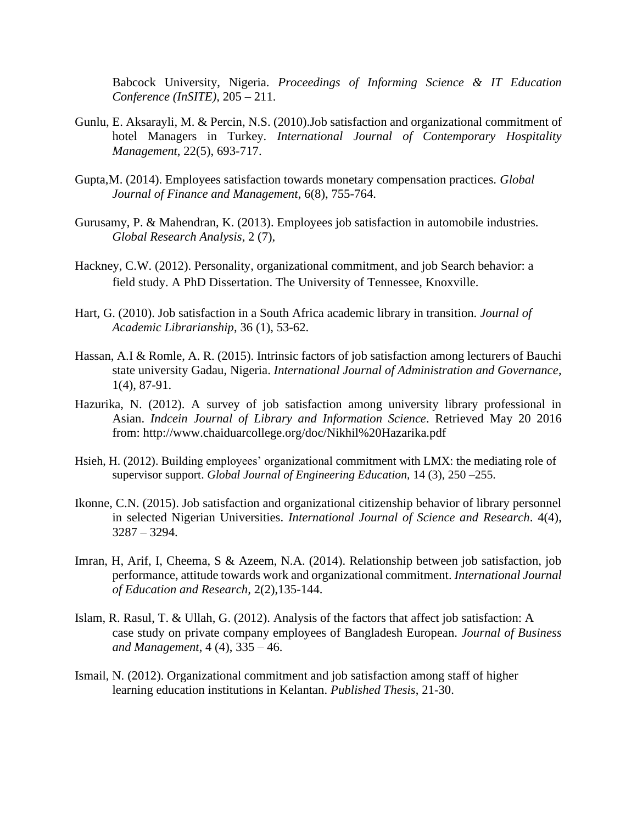Babcock University, Nigeria. *Proceedings of Informing Science & IT Education Conference (InSITE),* 205 – 211.

- Gunlu, E. Aksarayli, M. & Percin, N.S. (2010).Job satisfaction and organizational commitment of hotel Managers in Turkey. *International Journal of Contemporary Hospitality Management*, 22(5), 693-717.
- Gupta,M. (2014). Employees satisfaction towards monetary compensation practices. *Global Journal of Finance and Management*, 6(8), 755-764.
- Gurusamy, P. & Mahendran, K. (2013). Employees job satisfaction in automobile industries. *Global Research Analysis*, 2 (7),
- Hackney, C.W. (2012). Personality, organizational commitment, and job Search behavior: a field study. A PhD Dissertation. The University of Tennessee, Knoxville.
- Hart, G. (2010). Job satisfaction in a South Africa academic library in transition. *Journal of Academic Librarianship*, 36 (1), 53-62.
- Hassan, A.I & Romle, A. R. (2015). Intrinsic factors of job satisfaction among lecturers of Bauchi state university Gadau, Nigeria. *International Journal of Administration and Governance*, 1(4), 87-91.
- Hazurika, N. (2012). A survey of job satisfaction among university library professional in Asian. *Indcein Journal of Library and Information Science*. Retrieved May 20 2016 from:<http://www.chaiduarcollege.org/doc/Nikhil%20Hazarika.pdf>
- Hsieh, H. (2012). Building employees' organizational commitment with LMX: the mediating role of supervisor support. *Global Journal of Engineering Education,* 14 (3), 250 –255.
- Ikonne, C.N. (2015). Job satisfaction and organizational citizenship behavior of library personnel in selected Nigerian Universities. *International Journal of Science and Research*. 4(4), 3287 – 3294.
- Imran, H, Arif, I, Cheema, S & Azeem, N.A. (2014). Relationship between job satisfaction, job performance, attitude towards work and organizational commitment. *International Journal of Education and Research,* 2(2),135-144.
- Islam, R. Rasul, T. & Ullah, G. (2012). Analysis of the factors that affect job satisfaction: A case study on private company employees of Bangladesh European. *Journal of Business and Management*, 4 (4), 335 – 46.
- Ismail, N. (2012). Organizational commitment and job satisfaction among staff of higher learning education institutions in Kelantan. *Published Thesis*, 21-30.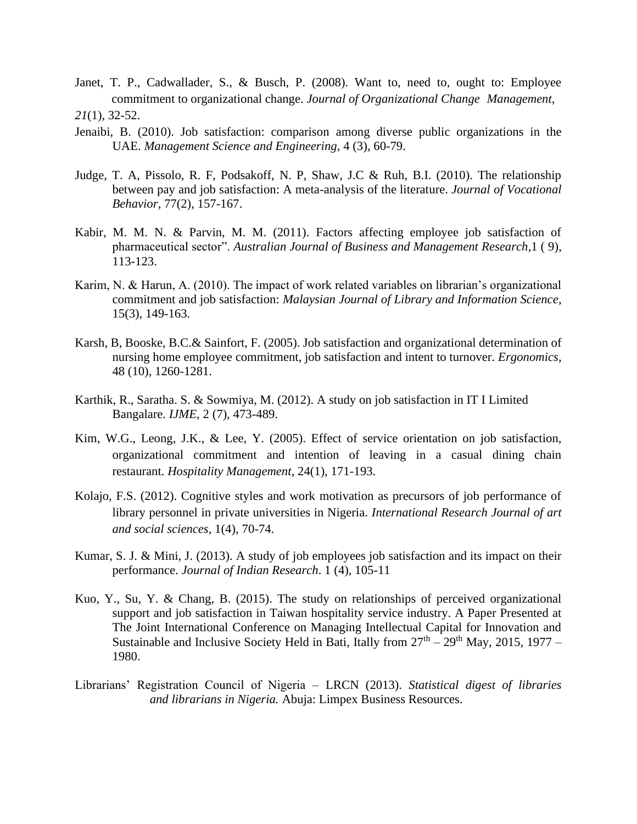- Janet, T. P., Cadwallader, S., & Busch, P. (2008). Want to, need to, ought to: Employee commitment to organizational change. *Journal of Organizational Change Management*, *21*(1), 32-52.
- Jenaibi, B. (2010). Job satisfaction: comparison among diverse public organizations in the UAE. *Management Science and Engineering*, 4 (3), 60-79.
- Judge, T. A, Pissolo, R. F, Podsakoff, N. P, Shaw, J.C & Ruh, B.I. (2010). The relationship between pay and job satisfaction: A meta-analysis of the literature. *Journal of Vocational Behavior*, 77(2), 157-167.
- Kabir, M. M. N. & Parvin, M. M. (2011). Factors affecting employee job satisfaction of pharmaceutical sector". *Australian Journal of Business and Management Research*,1 ( 9), 113-123.
- Karim, N. & Harun, A. (2010). The impact of work related variables on librarian's organizational commitment and job satisfaction: *Malaysian Journal of Library and Information Science*, 15(3), 149-163.
- Karsh, B, Booske, B.C.& Sainfort, F. (2005). Job satisfaction and organizational determination of nursing home employee commitment, job satisfaction and intent to turnover. *Ergonomics*, 48 (10), 1260-1281.
- Karthik, R., Saratha. S. & Sowmiya, M. (2012). A study on job satisfaction in IT I Limited Bangalare. *IJME*, 2 (7), 473-489.
- Kim, W.G., Leong, J.K., & Lee, Y. (2005). Effect of service orientation on job satisfaction, organizational commitment and intention of leaving in a casual dining chain restaurant. *Hospitality Management*, 24(1), 171-193.
- Kolajo, F.S. (2012). Cognitive styles and work motivation as precursors of job performance of library personnel in private universities in Nigeria. *International Research Journal of art and social sciences,* 1(4), 70-74.
- Kumar, S. J. & Mini, J. (2013). A study of job employees job satisfaction and its impact on their performance. *Journal of Indian Research*. 1 (4), 105-11
- Kuo, Y., Su, Y. & Chang, B. (2015). The study on relationships of perceived organizational support and job satisfaction in Taiwan hospitality service industry. A Paper Presented at The Joint International Conference on Managing Intellectual Capital for Innovation and Sustainable and Inclusive Society Held in Bati, Itally from  $27<sup>th</sup> - 29<sup>th</sup>$  May, 2015, 1977 – 1980.
- Librarians' Registration Council of Nigeria LRCN (2013). *Statistical digest of libraries and librarians in Nigeria.* Abuja: Limpex Business Resources.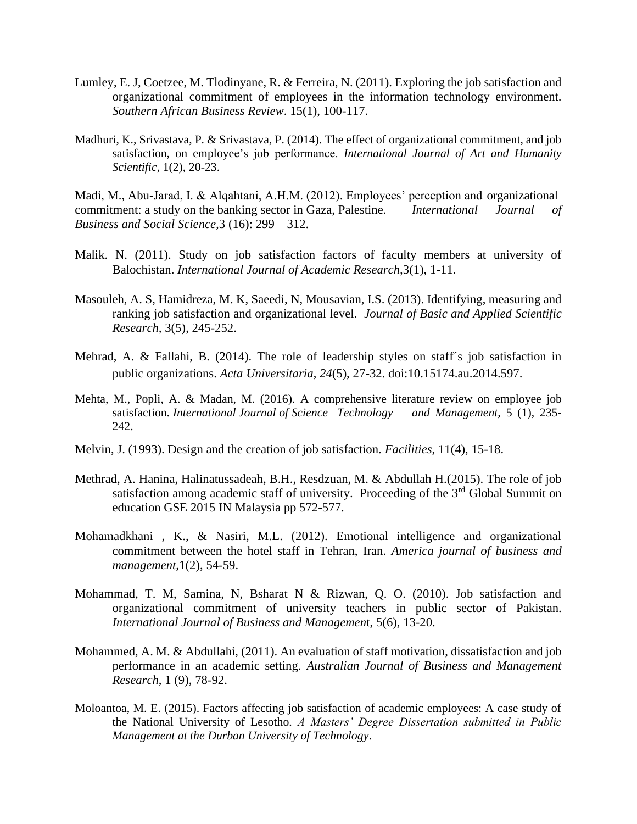- Lumley, E. J, Coetzee, M. Tlodinyane, R. & Ferreira, N. (2011). Exploring the job satisfaction and organizational commitment of employees in the information technology environment. *Southern African Business Review*. 15(1), 100-117.
- Madhuri, K., Srivastava, P. & Srivastava, P. (2014). The effect of organizational commitment, and job satisfaction, on employee's job performance. *International Journal of Art and Humanity Scientific*, 1(2), 20-23.

Madi, M., Abu-Jarad, I. & Alqahtani, A.H.M. (2012). Employees' perception and organizational commitment: a study on the banking sector in Gaza, Palestine. *International Journal of Business and Social Science,*3 (16): 299 – 312.

- Malik. N. (2011). Study on job satisfaction factors of faculty members at university of Balochistan. *International Journal of Academic Research,*3(1), 1-11.
- Masouleh, A. S, Hamidreza, M. K, Saeedi, N, Mousavian, I.S. (2013). Identifying, measuring and ranking job satisfaction and organizational level. *Journal of Basic and Applied Scientific Research,* 3(5), 245-252.
- Mehrad, A. & Fallahi, B. (2014). The role of leadership styles on staff´s job satisfaction in public organizations. *Acta Universitaria*, *24*(5), 27-32. doi:10.15174.au.2014.597.
- Mehta, M., Popli, A. & Madan, M. (2016). A comprehensive literature review on employee job satisfaction. *International Journal of Science Technology and Management*, 5 (1), 235-242.
- Melvin, J. (1993). Design and the creation of job satisfaction. *Facilities*, 11(4), 15-18.
- Methrad, A. Hanina, Halinatussadeah, B.H., Resdzuan, M. & Abdullah H.(2015). The role of job satisfaction among academic staff of university. Proceeding of the 3<sup>rd</sup> Global Summit on education GSE 2015 IN Malaysia pp 572-577.
- Mohamadkhani , K., & Nasiri, M.L. (2012). Emotional intelligence and organizational commitment between the hotel staff in Tehran, Iran. *America journal of business and management,*1(2), 54-59.
- Mohammad, T. M, Samina, N, Bsharat N & Rizwan, Q. O. (2010). Job satisfaction and organizational commitment of university teachers in public sector of Pakistan. *International Journal of Business and Managemen*t, 5(6), 13-20.
- Mohammed, A. M. & Abdullahi, (2011). An evaluation of staff motivation, dissatisfaction and job performance in an academic setting. *Australian Journal of Business and Management Research*, 1 (9), 78-92.
- Moloantoa, M. E. (2015). Factors affecting job satisfaction of academic employees: A case study of the National University of Lesotho*. A Masters' Degree Dissertation submitted in Public Management at the Durban University of Technology*.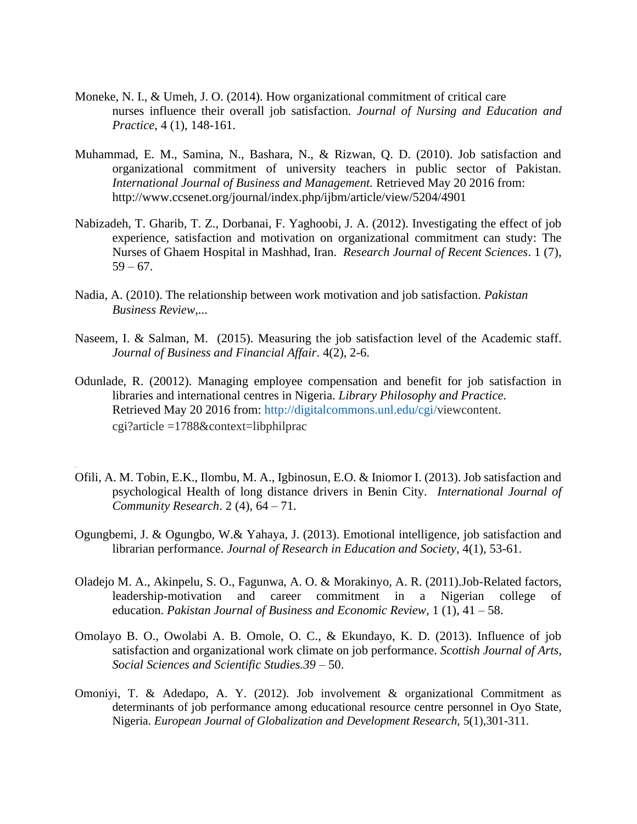- Moneke, N. I., & Umeh, J. O. (2014). How organizational commitment of critical care nurses influence their overall job satisfaction. *Journal of Nursing and Education and Practice*, 4 (1), 148-161.
- Muhammad, E. M., Samina, N., Bashara, N., & Rizwan, Q. D. (2010). Job satisfaction and organizational commitment of university teachers in public sector of Pakistan. *International Journal of Business and Management.* Retrieved May 20 2016 from: http://www.ccsenet.org/journal/index.php/ijbm/article/view/5204/4901
- Nabizadeh, T. Gharib, T. Z., Dorbanai, F. Yaghoobi, J. A. (2012). Investigating the effect of job experience, satisfaction and motivation on organizational commitment can study: The Nurses of Ghaem Hospital in Mashhad, Iran. *Research Journal of Recent Sciences*. 1 (7),  $59 - 67.$
- Nadia, A. (2010). The relationship between work motivation and job satisfaction. *Pakistan Business Review*,...
- Naseem, I. & Salman, M. (2015). Measuring the job satisfaction level of the Academic staff. *Journal of Business and Financial Affair*. 4(2), 2-6.
- Odunlade, R. (20012). Managing employee compensation and benefit for job satisfaction in libraries and international centres in Nigeria. *Library Philosophy and Practice.* Retrieved May 20 2016 from: [http://digitalcommons.unl.edu/cgi/v](http://digitalcommons.unl.edu/cgi/)iewcontent. cgi?article =1788&context=libphilprac
- Ofili, A. M. Tobin, E.K., Ilombu, M. A., Igbinosun, E.O. & Iniomor I. (2013). Job satisfaction and psychological Health of long distance drivers in Benin City. *International Journal of Community Research*. 2 (4), 64 – 71.

-

- Ogungbemi, J. & Ogungbo, W.& Yahaya, J. (2013). Emotional intelligence, job satisfaction and librarian performance. *Journal of Research in Education and Society*, 4(1), 53-61.
- Oladejo M. A., Akinpelu, S. O., Fagunwa, A. O. & Morakinyo, A. R. (2011).Job-Related factors, leadership-motivation and career commitment in a Nigerian college of education. *Pakistan Journal of Business and Economic Review,* 1 (1), 41 – 58.
- Omolayo B. O., Owolabi A. B. Omole, O. C., & Ekundayo, K. D. (2013). Influence of job satisfaction and organizational work climate on job performance. *Scottish Journal of Arts, Social Sciences and Scientific Studies.39* – 50.
- Omoniyi, T. & Adedapo, A. Y. (2012). Job involvement & organizational Commitment as determinants of job performance among educational resource centre personnel in Oyo State, Nigeria. *European Journal of Globalization and Development Research,* 5(1),301-311.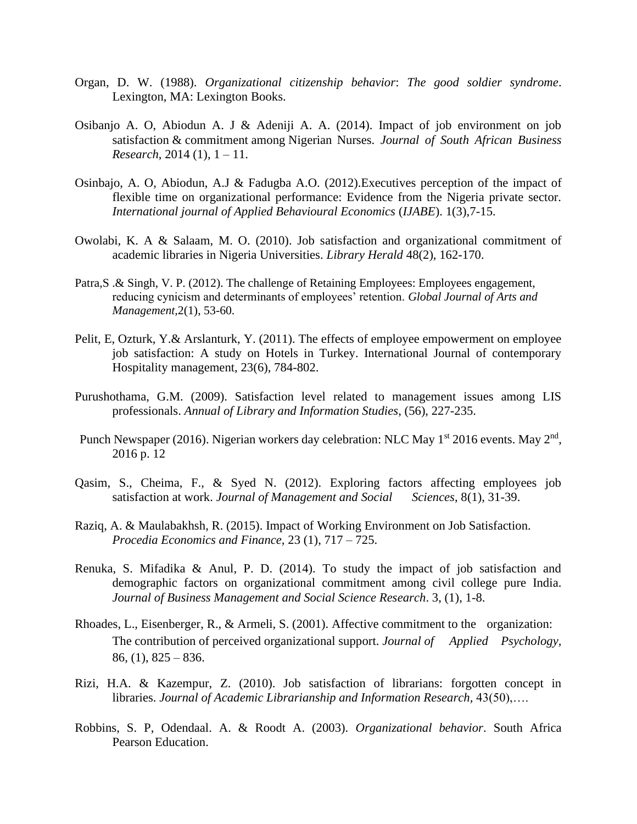- Organ, D. W. (1988). *Organizational citizenship behavior*: *The good soldier syndrome*. Lexington, MA: Lexington Books.
- Osibanjo A. O, Abiodun A. J & Adeniji A. A. (2014). Impact of job environment on job satisfaction & commitment among Nigerian Nurses. *Journal of South African Business Research*, 2014 (1), 1 – 11.
- Osinbajo, A. O, Abiodun, A.J & Fadugba A.O. (2012).Executives perception of the impact of flexible time on organizational performance: Evidence from the Nigeria private sector. *International journal of Applied Behavioural Economics* (*IJABE*). 1(3),7-15.
- Owolabi, K. A & Salaam, M. O. (2010). Job satisfaction and organizational commitment of academic libraries in Nigeria Universities. *Library Herald* 48(2), 162-170.
- Patra,S .& Singh, V. P. (2012). The challenge of Retaining Employees: Employees engagement, reducing cynicism and determinants of employees' retention. *Global Journal of Arts and Management,*2(1), 53-60.
- Pelit, E, Ozturk, Y.& Arslanturk, Y. (2011). The effects of employee empowerment on employee job satisfaction: A study on Hotels in Turkey. International Journal of contemporary Hospitality management, 23(6), 784-802.
- Purushothama, G.M. (2009). Satisfaction level related to management issues among LIS professionals. *Annual of Library and Information Studies*, (56), 227-235.
- Punch Newspaper (2016). Nigerian workers day celebration: NLC May 1<sup>st</sup> 2016 events. May 2<sup>nd</sup>, 2016 p. 12
- Qasim, S., Cheima, F., & Syed N. (2012). Exploring factors affecting employees job satisfaction at work. *Journal of Management and Social* Sciences, 8(1), 31-39.
- Raziq, A. & Maulabakhsh, R. (2015). Impact of Working Environment on Job Satisfaction. *Procedia Economics and Finance,* 23 (1), 717 – 725.
- Renuka, S. Mifadika & Anul, P. D. (2014). To study the impact of job satisfaction and demographic factors on organizational commitment among civil college pure India. *Journal of Business Management and Social Science Research*. 3, (1), 1-8.
- Rhoades, L., Eisenberger, R., & Armeli, S. (2001). Affective commitment to the organization: The contribution of perceived organizational support. *Journal of Applied Psychology,*   $86, (1), 825 - 836.$
- Rizi, H.A. & Kazempur, Z. (2010). Job satisfaction of librarians: forgotten concept in libraries. *Journal of Academic Librarianship and Information Research,* 43(50),….
- Robbins, S. P, Odendaal. A. & Roodt A. (2003). *Organizational behavior*. South Africa Pearson Education.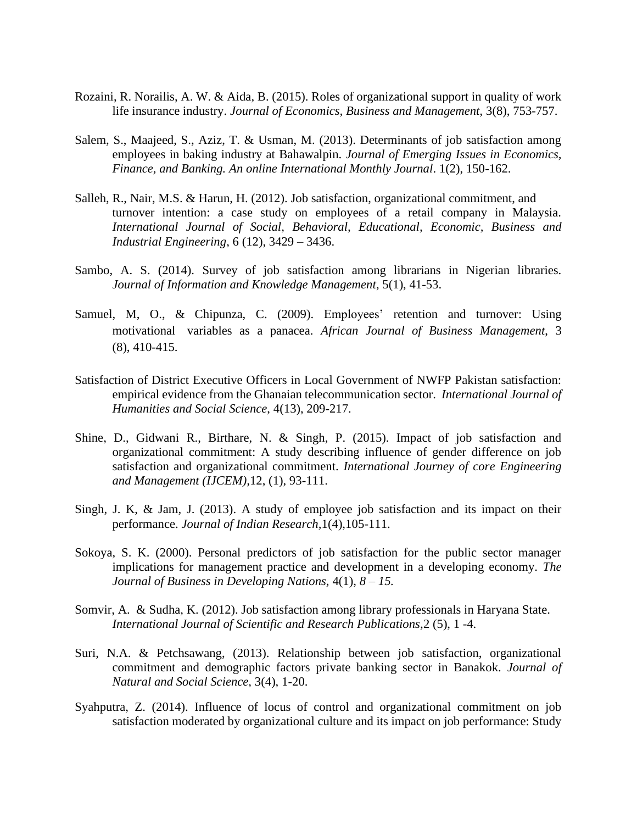- Rozaini, R. Norailis, A. W. & Aida, B. (2015). Roles of organizational support in quality of work life insurance industry. *Journal of Economics, Business and Management,* 3(8), 753-757.
- Salem, S., Maajeed, S., Aziz, T. & Usman, M. (2013). Determinants of job satisfaction among employees in baking industry at Bahawalpin. *Journal of Emerging Issues in Economics, Finance, and Banking. An online International Monthly Journal*. 1(2), 150-162.
- Salleh, R., Nair, M.S. & Harun, H. (2012). Job satisfaction, organizational commitment, and turnover intention: a case study on employees of a retail company in Malaysia. *International Journal of Social, Behavioral, Educational, Economic, Business and Industrial Engineering*, 6 (12), 3429 – 3436.
- Sambo, A. S. (2014). Survey of job satisfaction among librarians in Nigerian libraries. *Journal of Information and Knowledge Management*, 5(1), 41-53.
- Samuel, M, O., & Chipunza, C. (2009). Employees' retention and turnover: Using motivational variables as a panacea. *African Journal of Business Management*, 3 (8), 410-415.
- Satisfaction of District Executive Officers in Local Government of NWFP Pakistan satisfaction: empirical evidence from the Ghanaian telecommunication sector. *International Journal of Humanities and Social Science*, 4(13), 209-217.
- Shine, D., Gidwani R., Birthare, N. & Singh, P. (2015). Impact of job satisfaction and organizational commitment: A study describing influence of gender difference on job satisfaction and organizational commitment. *International Journey of core Engineering and Management (IJCEM),*12, (1), 93-111.
- Singh, J. K, & Jam, J. (2013). A study of employee job satisfaction and its impact on their performance. *Journal of Indian Research,*1(4),105-111.
- Sokoya, S. K. (2000). Personal predictors of job satisfaction for the public sector manager implications for management practice and development in a developing economy. *The Journal of Business in Developing Nations,* 4(1), *8 – 15.*
- Somvir, A. & Sudha, K. (2012). Job satisfaction among library professionals in Haryana State. *International Journal of Scientific and Research Publications,*2 (5), 1 -4.
- Suri, N.A. & Petchsawang, (2013). Relationship between job satisfaction, organizational commitment and demographic factors private banking sector in Banakok. *Journal of Natural and Social Science,* 3(4), 1-20.
- Syahputra, Z. (2014). Influence of locus of control and organizational commitment on job satisfaction moderated by organizational culture and its impact on job performance: Study